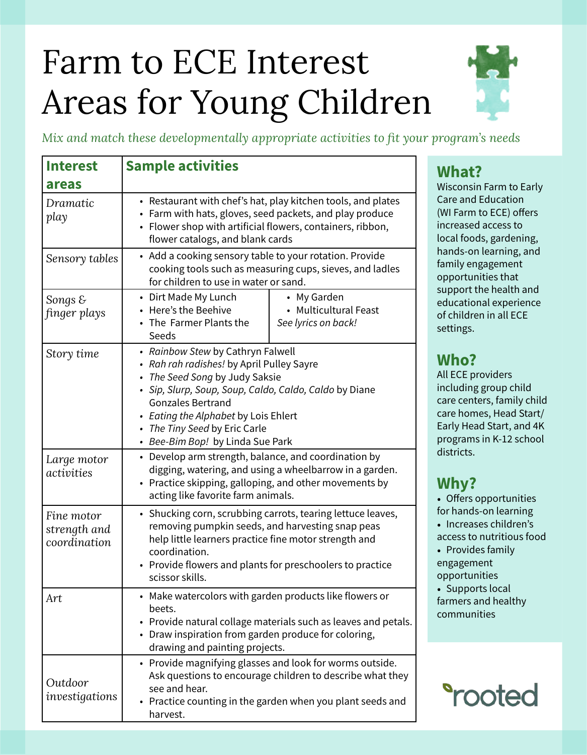# Farm to ECE Interest Areas for Young Children



*Mix and match these developmentally appropriate activities to fit your program's needs*

| <b>Interest</b>                            | <b>Sample activities</b>                                                                                                                                                                                                                                                                                            |
|--------------------------------------------|---------------------------------------------------------------------------------------------------------------------------------------------------------------------------------------------------------------------------------------------------------------------------------------------------------------------|
| areas                                      |                                                                                                                                                                                                                                                                                                                     |
| Dramatic<br>play                           | • Restaurant with chef's hat, play kitchen tools, and plates<br>• Farm with hats, gloves, seed packets, and play produce<br>• Flower shop with artificial flowers, containers, ribbon,<br>flower catalogs, and blank cards                                                                                          |
| Sensory tables                             | • Add a cooking sensory table to your rotation. Provide<br>cooking tools such as measuring cups, sieves, and ladles<br>for children to use in water or sand.                                                                                                                                                        |
| Songs $\mathcal E$<br>finger plays         | • Dirt Made My Lunch<br>• My Garden<br>• Here's the Beehive<br>• Multicultural Feast<br>• The Farmer Plants the<br>See lyrics on back!<br>Seeds                                                                                                                                                                     |
| Story time                                 | • Rainbow Stew by Cathryn Falwell<br>• Rah rah radishes! by April Pulley Sayre<br>• The Seed Song by Judy Saksie<br>· Sip, Slurp, Soup, Soup, Caldo, Caldo, Caldo by Diane<br><b>Gonzales Bertrand</b><br>• Eating the Alphabet by Lois Ehlert<br>• The Tiny Seed by Eric Carle<br>• Bee-Bim Bop! by Linda Sue Park |
| Large motor<br>activities                  | • Develop arm strength, balance, and coordination by<br>digging, watering, and using a wheelbarrow in a garden.<br>• Practice skipping, galloping, and other movements by<br>acting like favorite farm animals.                                                                                                     |
| Fine motor<br>strength and<br>coordination | • Shucking corn, scrubbing carrots, tearing lettuce leaves,<br>removing pumpkin seeds, and harvesting snap peas<br>help little learners practice fine motor strength and<br>coordination.<br>• Provide flowers and plants for preschoolers to practice<br>scissor skills.                                           |
| Art                                        | • Make watercolors with garden products like flowers or<br>beets.<br>• Provide natural collage materials such as leaves and petals.<br>• Draw inspiration from garden produce for coloring,<br>drawing and painting projects.                                                                                       |
| Outdoor<br>investigations                  | • Provide magnifying glasses and look for worms outside.<br>Ask questions to encourage children to describe what they<br>see and hear.<br>Practice counting in the garden when you plant seeds and<br>harvest.                                                                                                      |

# **What?**

Wisconsin Farm to Early Care and Education (WI Farm to ECE) offers increased access to local foods, gardening, hands-on learning, and family engagement opportunities that support the health and educational experience of children in all ECE settings.

# **Who?**

All ECE providers including group child care centers, family child care homes, Head Start/ Early Head Start, and 4K programs in K-12 school districts.

# **Why?**

• Offers opportunities for hands-on learning • Increases children's access to nutritious food • Provides family engagement opportunities • Supports local

farmers and healthy communities